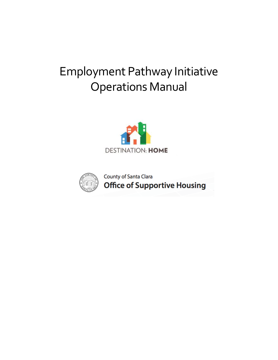# Employment Pathway Initiative Operations Manual





County of Santa Clara **Office of Supportive Housing**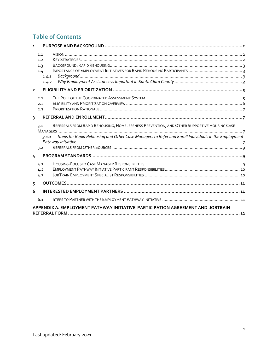# **Table of Contents**

| 1                                                                              |                                                                                                                                                                                                                          |  |  |  |  |
|--------------------------------------------------------------------------------|--------------------------------------------------------------------------------------------------------------------------------------------------------------------------------------------------------------------------|--|--|--|--|
|                                                                                | 1.1<br>1.2<br>1.3<br>1.4<br>1.4.1<br>1.4.2                                                                                                                                                                               |  |  |  |  |
| $\overline{2}$                                                                 |                                                                                                                                                                                                                          |  |  |  |  |
|                                                                                | 2.1<br>2.2<br>2.3                                                                                                                                                                                                        |  |  |  |  |
| $\overline{3}$                                                                 |                                                                                                                                                                                                                          |  |  |  |  |
|                                                                                | REFERRALS FROM RAPID REHOUSING, HOMELESSNESS PREVENTION, AND OTHER SUPPORTIVE HOUSING CASE<br>3.1<br>Steps for Rapid Rehousing and Other Case Managers to Refer and Enroll Individuals in the Employment<br>7.1.1<br>3.2 |  |  |  |  |
| $\overline{4}$                                                                 |                                                                                                                                                                                                                          |  |  |  |  |
|                                                                                | 4.1<br>4.2<br>4.3                                                                                                                                                                                                        |  |  |  |  |
| 5                                                                              |                                                                                                                                                                                                                          |  |  |  |  |
| 6                                                                              |                                                                                                                                                                                                                          |  |  |  |  |
|                                                                                | 6.1                                                                                                                                                                                                                      |  |  |  |  |
| APPENDIX A. EMPLOYMENT PATHWAY INITIATIVE PARTICIPATION AGREEMENT AND JOBTRAIN |                                                                                                                                                                                                                          |  |  |  |  |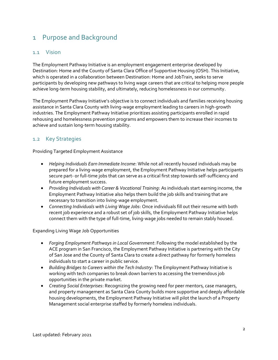# <span id="page-2-0"></span>1 Purpose and Background

### <span id="page-2-1"></span>1.1 Vision

The Employment Pathway Initiative is an employment engagement enterprise developed by [Destination: Home](https://destinationhomesv.org/) and th[e County of Santa Clara Office of Supportive Housing \(OSH\).](https://www.sccgov.org/sites/osh/Pages/home.aspx) This Initiative, which is operated in a collaboration between Destination: Home and JobTrain, seeks to serve participants by developing new pathways to living wage careers that are critical to helping more people achieve long-term housing stability, and ultimately, reducing homelessness in our community.

The Employment Pathway Initiative's objective is to connect individuals and families receiving housing assistance in Santa Clara County with living-wage employment leading to careers in high-growth industries. The Employment Pathway Initiative prioritizes assisting participants enrolled in rapid rehousing and homelessness prevention programs and empowers them to increase their incomes to achieve and sustain long-term housing stability.

### <span id="page-2-2"></span>1.2 Key Strategies

Providing Targeted Employment Assistance

- *Helping Individuals Earn Immediate Income*: While not all recently housed individuals may be prepared for a living-wage employment, the Employment Pathway Initiative helps participants secure part- or full-time jobs that can serve as a critical first step towards self-sufficiency and future employment success.
- *Providing Individuals with Career & Vocational Training*: As individuals start earning income, the Employment Pathway Initiative also helps them build the job skills and training that are necessary to transition into living-wage employment.
- *Connecting Individuals with Living Wage Jobs*: Once individuals fill out their resume with both recent job experience and a robust set of job skills, the Employment Pathway Initiative helps connect them with the type of full-time, living-wage jobs needed to remain stably housed.

Expanding Living Wage Job Opportunities

- *Forging Employment Pathways in Local Government*: Following the model established by the ACE program in San Francisco, the Employment Pathway Initiative is partnering with the City of San Jose and the County of Santa Clara to create a direct pathway for formerly homeless individuals to start a career in public service.
- *Building Bridges to Careers within the Tech Industry*: The Employment Pathway Initiative is working with tech companies to break down barriers to accessing the tremendous job opportunities in the private market.
- *Creating Social Enterprises*: Recognizing the growing need for peer mentors, case managers, and property management as Santa Clara County builds more supportive and deeply affordable housing developments, the Employment Pathway Initiative will pilot the launch of a Property Management social enterprise staffed by formerly homeless individuals.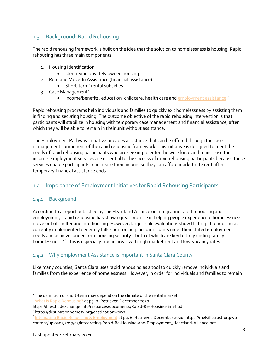# <span id="page-3-0"></span>1.3 Background: Rapid Rehousing

The rapid rehousing framework is built on the idea that the solution to homelessness is housing. Rapid rehousing has three main components:

- 1. Housing Identification
	- Identifying privately owned housing.
- 2. Rent and Move-In Assistance (financial assistance)
	- $\bullet$  Short-term<sup>1</sup> rental subsidies.
- 3. Case Management<sup>2</sup>
	- Income/benefits, education, childcare, health care an[d employment assistance.](https://destinationhomesv.org/destinationwork/)<sup>3</sup>

Rapid rehousing programs help individuals and families to quickly exit homelessness by assisting them in finding and securing housing. The outcome objective of the rapid rehousing intervention is that participants will stabilize in housing with temporary case management and financial assistance, after which they will be able to remain in their unit without assistance.

The Employment Pathway Initiative provides assistance that can be offered through the case management component of the rapid rehousing framework. This initiative is designed to meet the needs of rapid rehousing participants who are seeking to enter the workforce and to increase their income. Employment services are essential to the success of rapid rehousing participants because these services enable participants to increase their income so they can afford market rate rent after temporary financial assistance ends.

# <span id="page-3-1"></span>1.4 Importance of Employment Initiatives for Rapid Rehousing Participants

### <span id="page-3-2"></span>1.4.1 Background

According to a report published by the Heartland Alliance on integrating rapid rehousing and employment, "rapid rehousing has shown great promise in helping people experiencing homelessness move out of shelter and into housing. However, large-scale evaluations show that rapid rehousing as currently implemented generally falls short on helping participants meet their stated employment needs and achieve longer-term housing security—both of which are key to truly ending family homelessness."<sup>4</sup> This is especially true in areas with high market rent and low-vacancy rates.

# <span id="page-3-3"></span>1.4.2 Why Employment Assistance is Important in Santa Clara County

Like many counties, Santa Clara uses rapid rehousing as a tool to quickly remove individuals and families from the experience of homelessness. However, in order for individuals and families to remain

<sup>&</sup>lt;sup>1</sup> The definition of short-term may depend on the climate of the rental market.<br><sup>2</sup> [What is Rapid Rehousing?](https://www.hudexchange.info/resources/documents/Rapid-Re-Housing-Brief.pdf) at pg. 2. Retrieved December 2020:

https://files.hudexchange.info/resources/documents/Rapid-Re-Housing-Brief.pdf<br><sup>3</sup> https://destinationhomesv.org/destinationwork/

<sup>4</sup> [Integrating Rapid Rehousing & Employment](https://www.melvilletrust.org/wp-content/uploads/2017/03/Integrating-Rapid-Re-Housing-and-Employment_Heartland-Alliance.pdf) at pg. 6. Retrieved December 2020: https://melvilletrust.org/wpcontent/uploads/2017/03/Integrating-Rapid-Re-Housing-and-Employment\_Heartland-Alliance.pdf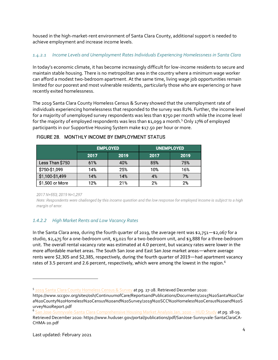housed in the high-market-rent environment of Santa Clara County, additional support is needed to achieve employment and increase income levels.

### *1.4.2.1 Income Levels and Unemployment Rates Individuals Experiencing Homelessness in Santa Clara*

In today's economic climate, it has become increasingly difficult for low-income residents to secure and maintain stable housing. There is no metropolitan area in the country where a minimum wage worker can afford a modest two-bedroom apartment. At the same time, living wage job opportunities remain limited for our poorest and most vulnerable residents, particularly those who are experiencing or have recently exited homelessness.

The 2019 Santa Clara County Homeless Census & Survey showed that the unemployment rate of individuals experiencing homelessness that responded to the survey was 82%. Further, the income level for a majority of unemployed survey respondents was less than \$750 per month while the income level for the majority of employed respondents was less than \$1,099 a month.<sup>5</sup> Only 17% of employed participants in our Supportive Housing System make \$17.50 per hour or more.

|                 | <b>EMPLOYED</b> |      | <b>UNEMPLOYED</b> |      |
|-----------------|-----------------|------|-------------------|------|
|                 | 2017            | 2019 | 2017              | 2019 |
| Less Than \$750 | 61%             | 40%  | 85%               | 75%  |
| \$750-\$1,099   | 14%             | 25%  | 10%               | 16%  |
| \$1,100-\$1,499 | 14%             | 14%  | 4%                | 7%   |
| \$1,500 or More | 12%             | 21%  | 2%                | 2%   |

#### FIGURE 28. MONTHLY INCOME BY EMPLOYMENT STATUS

2017 N=553; 2019 N=1,297

Note: Respondents were challenged by this income question and the low response for employed income is subject to a high margin of error.

### *1.4.2.2 High Market Rents and Low Vacancy Rates*

In the Santa Clara area, during the fourth quarter of 2019, the average rent was \$2,751—\$2,067 for a studio, \$2,475 for a one-bedroom unit, \$3,021 for a two-bedroom unit, and \$3,888 for a three-bedroom unit. The overall rental vacancy rate was estimated at 4.0 percent, but vacancy rates were lower in the more affordable market areas. The South San Jose and East San Jose market areas—where average rents were \$2,305 and \$2,385, respectively, during the fourth quarter of 2019—had apartment vacancy rates of 3.5 percent and 2.6 percent, respectively, which were among the lowest in the region.<sup>6</sup>

<sup>5</sup> [2019 Santa Clara County Homeless Census & Survey](https://www.sccgov.org/sites/osh/ContinuumofCare/ReportsandPublications/Documents/2015%20Santa%20Clara%20County%20Homeless%20Census%20and%20Survey/2019%20SCC%20Homeless%20Census%20and%20Survey%20Report.pdf) at pg. 27-28. Retrieved December 2020:

https://www.sccgov.org/sites/osh/ContinuumofCare/ReportsandPublications/Documents/2015%20Santa%20Clar a%20County%20Homeless%20Census%20and%20Survey/2019%20SCC%20Homeless%20Census%20and%20S urvey%20Report.pdf

<sup>6</sup> [San Jose-Sunnyvale-Santa Clara Comprehensive Housing Market Analysis Jan. 2020](https://www.huduser.gov/portal/publications/pdf/SanJose-Sunnyvale-SantaClaraCA-CHMA-20.pdf) - HUD Study at pg. 18-19. Retrieved December 2020: https://www.huduser.gov/portal/publications/pdf/SanJose-Sunnyvale-SantaClaraCA-CHMA-20.pdf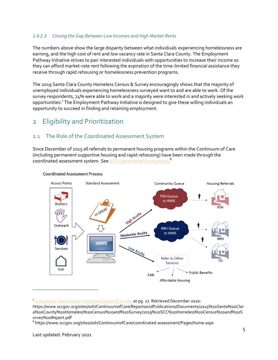#### *1.4.2.3 Closing the Gap Between Low Incomes and High Market Rents*

The numbers above show the large disparity between what individuals experiencing homelessness are earning, and the high cost of rent and low vacancy rate in Santa Clara County. The Employment Pathway Initiative strives to pair interested individuals with opportunities to increase their income so they can afford market-rate rent following the expiration of the time-limited financial assistance they receive through rapid rehousing or homelessness prevention programs.

The 2019 Santa Clara County Homeless Census & Survey encouragingly shows that the majority of unemployed individuals experiencing homelessness surveyed want to and are able to work. Of the survey respondents, 74% were able to work and a majority were interested in and actively seeking work opportunities.<sup>7</sup> The Employment Pathway Initiative is designed to give these willing individuals an opportunity to succeed in finding and retaining employment.

# <span id="page-5-0"></span>2 Eligibility and Prioritization

# <span id="page-5-1"></span>2.1 The Role of the Coordinated Assessment System

Since December of 2015 all referrals to permanent housing programs within the Continuum of Care (including permanent supportive housing and rapid rehousing) have been made through the coordinated assessment system. See [SCC Coordinated Assessment](https://www.sccgov.org/sites/osh/ContinuumofCare/coordinated-assessment/Pages/home.aspx). <sup>8</sup>



#### **Coordinated Assessment Process**

<sup>7</sup> [2019 Santa Clara County Homeless Census & Survey](https://www.sccgov.org/sites/osh/ContinuumofCare/ReportsandPublications/Documents/2015%20Santa%20Clara%20County%20Homeless%20Census%20and%20Survey/2019%20SCC%20Homeless%20Census%20and%20Survey%20Report.pdf) at pg. 27. Retrieved December 2020:

https://www.sccgov.org/sites/osh/ContinuumofCare/ReportsandPublications/Documents/2015%20Santa%20Clar a%20County%20Homeless%20Census%20and%20Survey/2019%20SCC%20Homeless%20Census%20and%20S urvey%20Report.pdf

<sup>8</sup> https://www.sccgov.org/sites/osh/ContinuumofCare/coordinated-assessment/Pages/home.aspx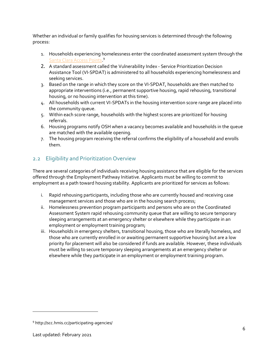Whether an individual or family qualifies for housing services is determined through the following process:

- 1. Households experiencing homelessness enter the coordinated assessment system through the [Santa Clara Access Points.](http://scc.hmis.cc/participating-agencies/)<sup>9</sup>
- 2. A standard assessment called the Vulnerability Index Service Prioritization Decision Assistance Tool (VI-SPDAT) is administered to all households experiencing homelessness and seeking services.
- 3. Based on the range in which they score on the VI-SPDAT, households are then matched to appropriate interventions (i.e., permanent supportive housing, rapid rehousing, transitional housing, or no housing intervention at this time).
- 4. All households with current VI-SPDATs in the housing intervention score range are placed into the community queue.
- 5. Within each score range, households with the highest scores are prioritized for housing referrals.
- 6. Housing programs notify OSH when a vacancy becomes available and households in the queue are matched with the available opening.
- 7. The housing program receiving the referral confirms the eligibility of a household and enrolls them.

# <span id="page-6-0"></span>2.2 Eligibility and Prioritization Overview

There are several categories of individuals receiving housing assistance that are eligible for the services offered through the Employment Pathway Initiative. Applicants must be willing to commit to employment as a path toward housing stability. Applicants are prioritized for services as follows:

- i. Rapid rehousing participants, including those who are currently housed and receiving case management services and those who are in the housing search process;
- ii. Homelessness prevention program participants and persons who are on the Coordinated Assessment System rapid rehousing community queue that are willing to secure temporary sleeping arrangements at an emergency shelter or elsewhere while they participate in an employment or employment training program;
- iii. Households in emergency shelters, transitional housing, those who are literally homeless, and those who are currently enrolled in or awaiting permanent supportive housing but are a low priority for placement will also be considered if funds are available. However, these individuals must be willing to secure temporary sleeping arrangements at an emergency shelter or elsewhere while they participate in an employment or employment training program.

<sup>&</sup>lt;sup>9</sup> http://scc.hmis.cc/participating-agencies/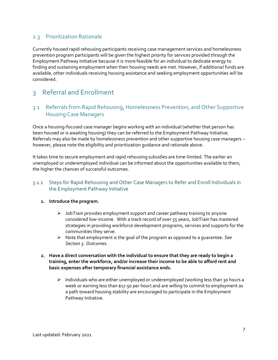### <span id="page-7-0"></span>2.3 Prioritization Rationale

Currently housed rapid rehousing participants receiving case management services and homelessness prevention program participants will be given the highest priority for services provided through the Employment Pathway Initiative because it is more feasible for an individual to dedicate energy to finding and sustaining employment when their housing needs are met. However, if additional funds are available, other individuals receiving housing assistance and seeking employment opportunities will be considered.

# <span id="page-7-1"></span>3 Referral and Enrollment

# <span id="page-7-2"></span>3.1 Referrals from Rapid Rehousing, Homelessness Prevention, and Other Supportive Housing Case Managers

Once a housing-focused case manager begins working with an individual (whether that person has been housed or is awaiting housing) they can be referred to the Employment Pathway Initiative. Referrals may also be made by homelessness prevention and other supportive housing case managers – however, please note the eligibility and prioritization guidance and rationale above.

It takes time to secure employment and rapid rehousing subsidies are time-limited. The earlier an unemployed or underemployed individual can be informed about the opportunities available to them, the higher the chances of successful outcomes.

### <span id="page-7-3"></span>3.1.1 Steps for Rapid Rehousing and Other Case Managers to Refer and Enroll Individuals in the Employment Pathway Initiative

#### **1. Introduce the program.**

- $\triangleright$  JobTrain provides employment support and career pathway training to anyone considered low-income. With a track record of over 55 years, JobTrain has mastered strategies in providing workforce development programs, services and supports for the communities they serve.
- ➢ Note that employment is the goal of the program as opposed to a guarantee. *See Section [5. Outcomes.](#page-11-0)*
- **2. Have a direct conversation with the individual to ensure that they are ready to begin a training, enter the workforce, and/or increase their income to be able to afford rent and basic expenses after temporary financial assistance ends.** 
	- ➢ Individuals who are either unemployed or underemployed (working less than 30 hours a week or earning less than \$17.50 per hour) and are willing to commit to employment as a path toward housing stability are encouraged to participate in the Employment Pathway Initiative.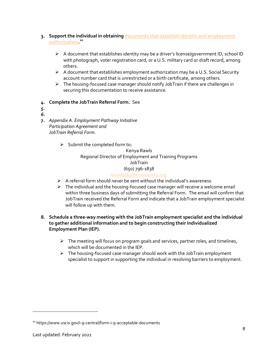- **3. Support the individual in obtaining [documents that establish identity and employment](https://www.uscis.gov/i-9-central/form-i-9-acceptable-documents)  [authorization.](https://www.uscis.gov/i-9-central/form-i-9-acceptable-documents) 10**
	- $\triangleright$  A document that establishes identity may be a driver's license/government ID, school ID with photograph, voter registration card, or a U.S. military card or draft record, among others.
	- ➢ A document that establishes employment authorization may be a U.S. Social Security account number card that is unrestricted or a birth certificate, among others.
	- ➢ The housing-focused case manager should notify JobTrain if there are challenges in securing this documentation to receive assistance.
- *4.* **Complete the JobTrain Referral Form.** Se[e](#page-13-1)
- *[5.](#page-13-1) [6.](#page-13-1)*
- **7.** *[Appendix A. Employment Pathway Initiative](#page-13-1) [Participation Agreement](#page-13-1) and JobTrain [Referral Form.](#page-13-1)*
	- $\triangleright$  Submit the completed form to:

Kenya Rawls Regional Director of Employment and Training Programs JobTrain (650) 796-1838 [krawls@jobtrainworks.org](mailto:krawls@jobtrainworks.org)

- ➢ A referral form should never be sent without the individual's awareness.
- $\triangleright$  The individual and the housing-focused case manager will receive a welcome email within three business days of submitting the Referral Form. The email will confirm that JobTrain received the Referral Form and indicate that a JobTrain employment specialist will follow up with them.

### **8. Schedule a three-way meeting with the JobTrain employment specialist and the individual to gather additional information and to begin constructing their Individualized Employment Plan (IEP).**

- $\triangleright$  The meeting will focus on program goals and services, partner roles, and timelines, which will be documented in the IEP.
- ➢ The housing-focused case manager should work with the JobTrain employment specialist to support in supporting the individual in resolving barriers to employment.

<sup>&</sup>lt;sup>10</sup> https://www.uscis.gov/i-9-central/form-i-9-acceptable-documents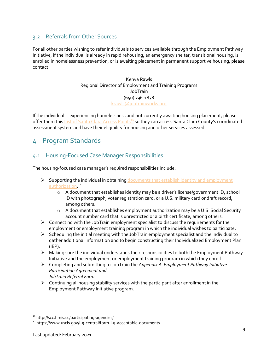### <span id="page-9-0"></span>3.2 Referrals from Other Sources

For all other parties wishing to refer individuals to services available through the Employment Pathway Initiative, if the individual is already in rapid rehousing, an emergency shelter, transitional housing, is enrolled in homelessness prevention, or is awaiting placement in permanent supportive housing, please contact:

#### Kenya Rawls Regional Director of Employment and Training Programs JobTrain (650) 796-1838 [krawls@jobtrainworks.org](mailto:krawls@jobtrainworks.org)

If the individual is experiencing homelessness and not currently awaiting housing placement, please offer them thi[s List of Santa Clara Access Points](http://scc.hmis.cc/participating-agencies/)<sup>11</sup> so they can access Santa Clara County's coordinated assessment system and have their eligibility for housing and other services assessed.

# <span id="page-9-1"></span>4 Program Standards

# <span id="page-9-2"></span>4.1 Housing-Focused Case Manager Responsibilities

The housing-focused case manager's required responsibilities include:

- ➢ Supporting the individual in obtaining [documents that establish identity and employment](https://www.uscis.gov/i-9-central/form-i-9-acceptable-documents)  [authorization.](https://www.uscis.gov/i-9-central/form-i-9-acceptable-documents)<sup>12</sup>
	- $\circ$  A document that establishes identity may be a driver's license/government ID, school ID with photograph, voter registration card, or a U.S. military card or draft record, among others.
	- o A document that establishes employment authorization may be a U.S. Social Security account number card that is unrestricted or a birth certificate, among others.
- ➢ Connecting with the JobTrain employment specialist to discuss the requirements for the employment or employment training program in which the individual wishes to participate.
- ➢ Scheduling the initial meeting with the JobTrain employment specialist and the individual to gather additional information and to begin constructing their Individualized Employment Plan (IEP).
- ➢ Making sure the individual understands their responsibilities to both the Employment Pathway Initiative and the employment or employment training program in which they enroll.
- ➢ Completing and submitting to JobTrain the *[Appendix A. Employment Pathway Initiative](#page-13-0) [Participation Agreement](#page-13-0) and JobTrain [Referral Form](#page-13-0)*.
- $\triangleright$  Continuing all housing stability services with the participant after enrollment in the Employment Pathway Initiative program.

<sup>11</sup> http://scc.hmis.cc/participating-agencies/

<sup>12</sup> https://www.uscis.gov/i-9-central/form-i-9-acceptable-documents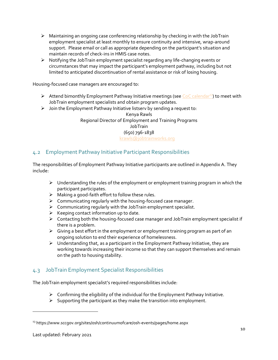- $\triangleright$  Maintaining an ongoing case conferencing relationship by checking in with the JobTrain employment specialist at least monthly to ensure continuity and intensive, wrap-around support. Please email or call as appropriate depending on the participant's situation and maintain records of check-ins in HMIS case notes.
- ➢ Notifying the JobTrain employment specialist regarding any life-changing events or circumstances that may impact the participant's employment pathway, including but not limited to anticipated discontinuation of rental assistance or risk of losing housing.

Housing-focused case managers are encouraged to:

- $\triangleright$  Attend bimonthly Employment Pathway Initiative meetings (see CoC calendar<sup>13</sup>) to meet with JobTrain employment specialists and obtain program updates.
- $\triangleright$  Join the Employment Pathway Initiative listserv by sending a request to:

Kenya Rawls Regional Director of Employment and Training Programs JobTrain (650) 796-1838 [krawls@jobtrainworks.org](mailto:krawls@jobtrainworks.org)

# <span id="page-10-0"></span>4.2 Employment Pathway Initiative Participant Responsibilities

The responsibilities of Employment Pathway Initiative participants are outlined in Appendix A. They include:

- $\triangleright$  Understanding the rules of the employment or employment training program in which the participant participates.
- $\triangleright$  Making a good-faith effort to follow these rules.
- ➢ Communicating regularly with the housing-focused case manager.
- $\triangleright$  Communicating regularly with the JobTrain employment specialist.
- $\triangleright$  Keeping contact information up to date.
- ➢ Contacting both the housing-focused case manager and JobTrain employment specialist if there is a problem.
- $\triangleright$  Giving a best effort in the employment or employment training program as part of an ongoing solution to end their experience of homelessness.
- ➢ Understanding that, as a participant in the Employment Pathway Initiative, they are working towards increasing their income so that they can support themselves and remain on the path to housing stability.

# <span id="page-10-1"></span>4.3 JobTrain Employment Specialist Responsibilities

The JobTrain employment specialist's required responsibilities include:

- $\triangleright$  Confirming the eligibility of the individual for the Employment Pathway Initiative.
- $\triangleright$  Supporting the participant as they make the transition into employment.

<sup>&</sup>lt;sup>13</sup> https://www.sccgov.org/sites/osh/continuumofcare/osh-events/pages/home.aspx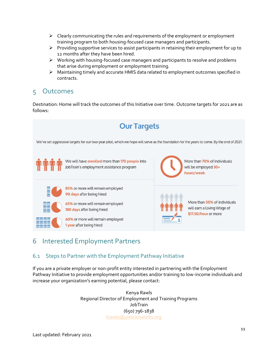- $\triangleright$  Clearly communicating the rules and requirements of the employment or employment training program to both housing-focused case managers and participants.
- $\triangleright$  Providing supportive services to assist participants in retaining their employment for up to 12 months after they have been hired.
- ➢ Working with housing-focused case managers and participants to resolve and problems that arise during employment or employment training.
- ➢ Maintaining timely and accurate HMIS data related to employment outcomes specified in contracts.

# <span id="page-11-0"></span>5 Outcomes

Destination: Home will track the outcomes of this Initiative over time. Outcome targets for 2021 are as follows:



# <span id="page-11-1"></span>6 Interested Employment Partners

# <span id="page-11-2"></span>6.1 Steps to Partner with the Employment Pathway Initiative

If you are a private employer or non-profit entity interested in partnering with the Employment Pathway Initiative to provide employment opportunities and/or training to low-income individuals and increase your organization's earning potential, please contact:

> Kenya Rawls Regional Director of Employment and Training Programs JobTrain (650) 796-1838 [krawls@jobtrainworks.org](mailto:krawls@jobtrainworks.org)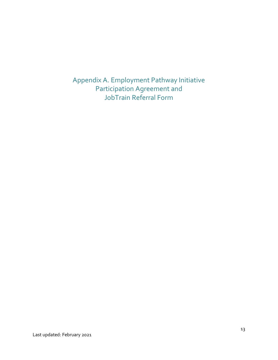<span id="page-13-1"></span><span id="page-13-0"></span>Appendix A. Employment Pathway Initiative Participation Agreement and JobTrain Referral Form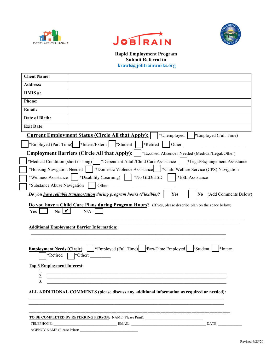





**Rapid Employment Program Submit Referral to krawls@jobtrainworks.org**

| <b>Client Name:</b>                                                                      |                                                                                                                              |
|------------------------------------------------------------------------------------------|------------------------------------------------------------------------------------------------------------------------------|
|                                                                                          |                                                                                                                              |
| <b>Address:</b>                                                                          |                                                                                                                              |
| HMIS #:                                                                                  |                                                                                                                              |
| <b>Phone:</b>                                                                            |                                                                                                                              |
| Email:                                                                                   |                                                                                                                              |
| Date of Birth:                                                                           |                                                                                                                              |
| <b>Exit Date:</b>                                                                        |                                                                                                                              |
|                                                                                          | <b>Current Employment Status (Circle All that Apply):</b><br> *Unemployed    *Employed (Full Time)                           |
|                                                                                          | *Employed (Part-Time)   *Intern/Extern   *Student  <br>*Retired   Other                                                      |
|                                                                                          | Employment Barriers (Circle All that Apply):    *Excused Absences Needed (Medical/Legal/Other)                               |
|                                                                                          | *Medical Condition (short or long)   *Dependent Adult/Child Care Assistance   *Legal/Expungement Assistance                  |
| *Housing Navigation Needed                                                               | *Domestic Violence Assistance Fchild Welfare Service (CPS) Navigation                                                        |
|                                                                                          | *Wellness Assistance    *Disability (Learning)    *No GED/HSD<br>*ESL Assistance                                             |
| *Substance Abuse Navigation                                                              | Other                                                                                                                        |
|                                                                                          | (Add Comments Below)<br>Do you have reliable transportation during program hours (Flexible)?<br><b>Yes</b><br>N <sub>0</sub> |
| No<br>Yes<br>V                                                                           | $N/A-$<br><b>Additional Employment Barrier Information:</b>                                                                  |
| <b>Employment Needs (Circle):</b><br>*Retired<br><b>Top 3 Employment Interest:</b><br>1. | *Employed (Full Time) Part-Time Employed Student<br><sup>*</sup> Intern                                                      |
| 3.                                                                                       | ALL ADDITIONAL COMMENTS (please discuss any additional information as required or needed):                                   |